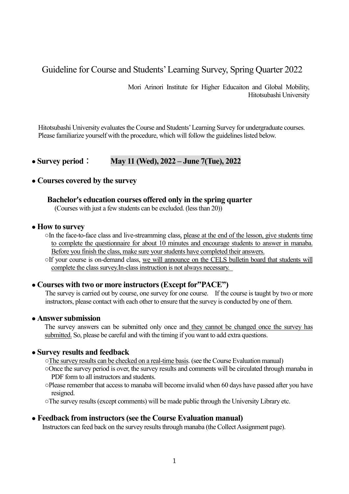# Guideline for Course and Students' Learning Survey, Spring Quarter 2022

Mori Arinori Institute for Higher Educaiton and Global Mobility, Hitotsubashi University

Hitotsubashi University evaluates the Course and Students' Learning Survey for undergraduate courses. Please familiarize yourself with the procedure, which will follow the guidelines listed below.

### **● Survey period**: **May 11 (Wed), 2022 – June 7(Tue), 2022**

### **● Courses covered by the survey**

#### **Bachelor's education courses offered only in the spring quarter**

(Courses with just a few students can be excluded. (less than 20))

#### **● How to survey**

- ○In the face-to-face class and live-streamming class, please at the end of the lesson, give students time to complete the questionnaire for about 10 minutes and encourage students to answer in manaba. Before you finish the class, make sure your students have completed their answers.
- ○If your course is on-demand class, we will announce on the CELS bulletin board that students will complete the class survey.In-classinstruction is not always necessary.

### **● Courses with two or more instructors(Except for"PACE")**

The survey is carried out by course, one survey for one course. If the course is taught by two or more instructors, please contact with each other to ensure that the survey is conducted by one of them.

### **● Answer submission**

The survey answers can be submitted only once and they cannot be changed once the survey has submitted. So, please be careful and with the timing if you want to add extra questions.

#### **● Survey results and feedback**

- ○The survey results can be checked on a real-time basis. (see the Course Evaluation manual)
- ○Once the survey period is over, the survey results and comments will be circulated through manaba in PDF form to all instructors and students.
- ○Please remember that access to manaba will become invalid when 60 days have passed after you have resigned.

○The survey results (except comments) will be made public through the University Library etc.

#### **● Feedback from instructors (see the Course Evaluation manual)**

Instructors can feed back on the survey results through manaba (the Collect Assignment page).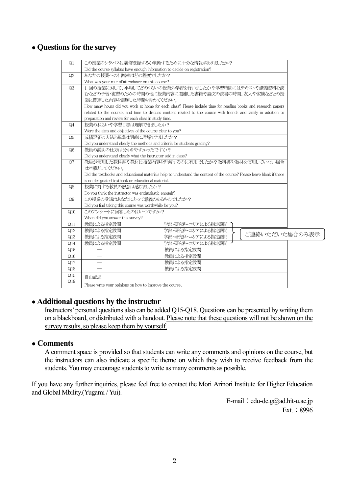### **● Questions for the survey**

| $\Omega$       | この授業のシラバスは履修登録するか判断するために十分な情報がありましたか?                                                                                 |  |
|----------------|-----------------------------------------------------------------------------------------------------------------------|--|
|                | Did the course syllabus have enough information to decide on registration?                                            |  |
| Q2             | あなたの授業への出席率はどの程度でしたか?                                                                                                 |  |
|                | What was your rate of attendance on this course?                                                                      |  |
| $\mathbb{Q}3$  | 1 回の授業に対して、平均してどのくらいの授業外学習を行いましたか?学習時間にはテキストや講義資料を読                                                                   |  |
|                | むなどの予習・復習のための時間の他に授業内容に関連した書籍や論文の読書の時間、友人や家族などとの授                                                                     |  |
|                | 業に関連した内容を話題した時間も含めてください。                                                                                              |  |
|                | How many hours did you work at home for each class? Please include time for reading books and research papers         |  |
|                | related to the course, and time to discuss content related to the course with friends and family in addition to       |  |
|                | preparation and review for each class in study time.                                                                  |  |
| $\mathbb{Q}4$  | 授業のねらいや学習目標は理解できましたか?                                                                                                 |  |
|                | Were the aims and objectives of the course clear to you?                                                              |  |
| $\mathcal{Q}5$ | 成績評価の方法と基準は明確に理解できましたか?                                                                                               |  |
|                | Did you understand clearly the methods and criteria for students grading?                                             |  |
| Q6             | 教員の説明の仕方は分かりやすかったですか?                                                                                                 |  |
|                | Did you understand clearly what the instructor said in class?                                                         |  |
| $\Omega$       | 教員が使用した教科書や教材は授業内容を理解するのに有用でしたか?教科書や教材を使用していない場合                                                                      |  |
|                | は空欄としてください。                                                                                                           |  |
|                | Did the textbooks and educational materials help to understand the content of the course? Please leave blank if there |  |
|                | is no designated textbook or educational material.                                                                    |  |
| $\Omega$       | 授業に対する教員の熱意は感じましたか?                                                                                                   |  |
|                | Do you think the instructor was enthusiastic enough?                                                                  |  |
| Q <sub>9</sub> | この授業の受講はあなたにとって意義のあるものでしたか?                                                                                           |  |
| $\Omega$ 10    | Did you find taking this course was worthwhile for you?<br>このアンケートに回答したのはいつですか?                                       |  |
|                | When did you answer this survey?                                                                                      |  |
| Q11            | 学部・研究科・エリアによる指定設問<br>教員による指定設問                                                                                        |  |
| $\Omega$ 12    | 教員による指定設問<br>学部・研究科・エリアによる指定設問                                                                                        |  |
| Q13            | ご連絡いただいた場合のみ表示<br>教員による指定設問<br>学部・研究科・エリアによる指定設問                                                                      |  |
| Q14            | 教員による指定設問<br>学部・研究科・エリアによる指定設問                                                                                        |  |
| Q15            | 教員による指定設問                                                                                                             |  |
| Q16            | 教員による指定設問                                                                                                             |  |
| Q17            | 教員による指定設問                                                                                                             |  |
| Q18            | 教員による指定設問                                                                                                             |  |
| Q15            |                                                                                                                       |  |
| Q19            | 自由記述                                                                                                                  |  |
|                | Please write your opinions on how to improve the course,                                                              |  |

# **●Additional questions by the instructor**

Instructors' personal questions also can be added Q15-Q18. Questions can be presented by writing them on a blackboard, or distributed with a handout. Please note that these questions will not be shown on the survey results, so please keep them by yourself.

### ● **Comments**

 A comment space is provided so that students can write any comments and opinions on the course, but the instructors can also indicate a specific theme on which they wish to receive feedback from the students. You may encourage students to write as many comments as possible.

If you have any further inquiries, please feel free to contact the Mori Arinori Institute for Higher Education and Global Mbility.(Yugami / Yui).

> E-mail: edu-dc.g@ad.hit-u.ac.jp Ext.: 8996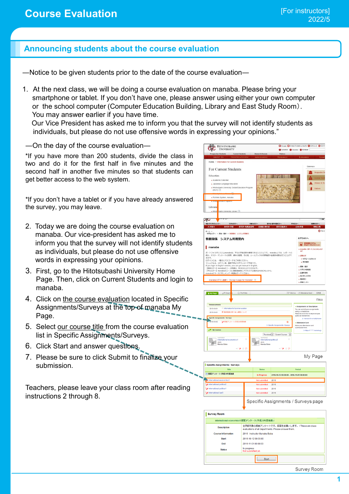### **Announcing students about the course evaluation**

―Notice to be given students prior to the date of the course evaluation―

1. At the next class, we will be doing a course evaluation on manaba. Please bring your smartphone or tablet. If you don't have one, please answer using either your own computer or the school computer (Computer Education Building, Library and East Study Room). You may answer earlier if you have time.

Our Vice President has asked me to inform you that the survey will not identify students as individuals, but please do not use offensive words in expressing your opinions."

―On the day of the course evaluation―

\*If you have more than 200 students, divide the class in two and do it for the first half in five minutes and the second half in another five minutes so that students can get better access to the web system.

\*If you don't have a tablet or if you have already answered the survey, you may leave.

- 2. Today we are doing the course evaluation on manaba. Our vice-president has asked me to inform you that the survey will not identify students as individuals, but please do not use offensive words in expressing your opinions.
- 3. First, go to the Hitotsubashi University Home Page. Then, click on Current Students and login to manaba.
- 4. Click on the course evaluation located in Specific Assignments/Surveys at the top of manaba My Page.
- 5. Select our course title from the course evaluation list in Specific Assignments/Surveys.
- 6. Click Start and answer questions.
- 7. Please be sure to click Submit to finalize your submission.

Teachers, please leave your class room after reading instructions 2 through 8.



Survey Room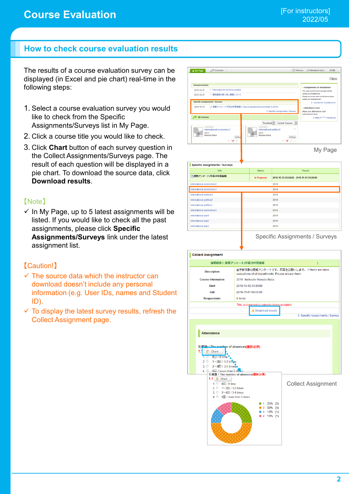# **How to check course evaluation results**

The results of a course evaluation survey can be displayed (in Excel and pie chart) real-time in the following steps:

- 1. Select a course evaluation survey you would like to check from the Specific Assignments/Surveys list in My Page.
- 2. Click a course title you would like to check.
- 3. Click **Chart** button of each survey question in the Collect Assignments/Surveys page. The result of each question will be displayed in a pie chart. To download the source data, click **Download results**.

### 【Note】

 $\checkmark$  In My Page, up to 5 latest assignments will be listed. If you would like to check all the past assignments, please click **Specific Assignments/Surveys** link under the latest assignment list.

### 【Caution!】

- $\checkmark$  The source data which the instructor can download doesn't include any personal information (e.g. User IDs, names and Student ID).
- $\checkmark$  To display the latest survey results, refresh the Collect Assignment page.



international law:

Specific Assignments / Surveys

 $2016$